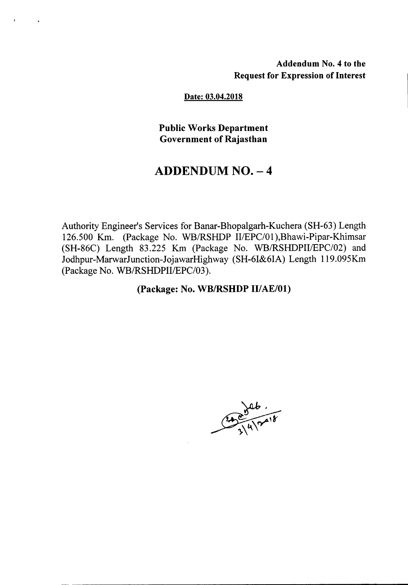### Addendum No.4 to the Request for Expression of Interest

#### Date: 03.04.2018

 $\mathbf{r}$ 

Public Works Department Government of Rajasthan

# $ADDENDUM NO. - 4$

Authority Engineer's Services for Banar-Bhopalgarh-Kuchera (SH-63) Length 126.500 Km. (Package No. WB/RSHDP II/EPC/01), Bhawi-Pipar-Khimsar (SH-86C) Length 83.225 Km (Package No. WB/RSHDPII/EPC/02) and Jodhpur-MarwarJunction-JojawarHighway (SH-6I&6IA) Length 119.095Km (Package No. WB/RSHDPII/EPC/03).

(Package: No. WB/RSHDP II/AE/01)

 $24800$